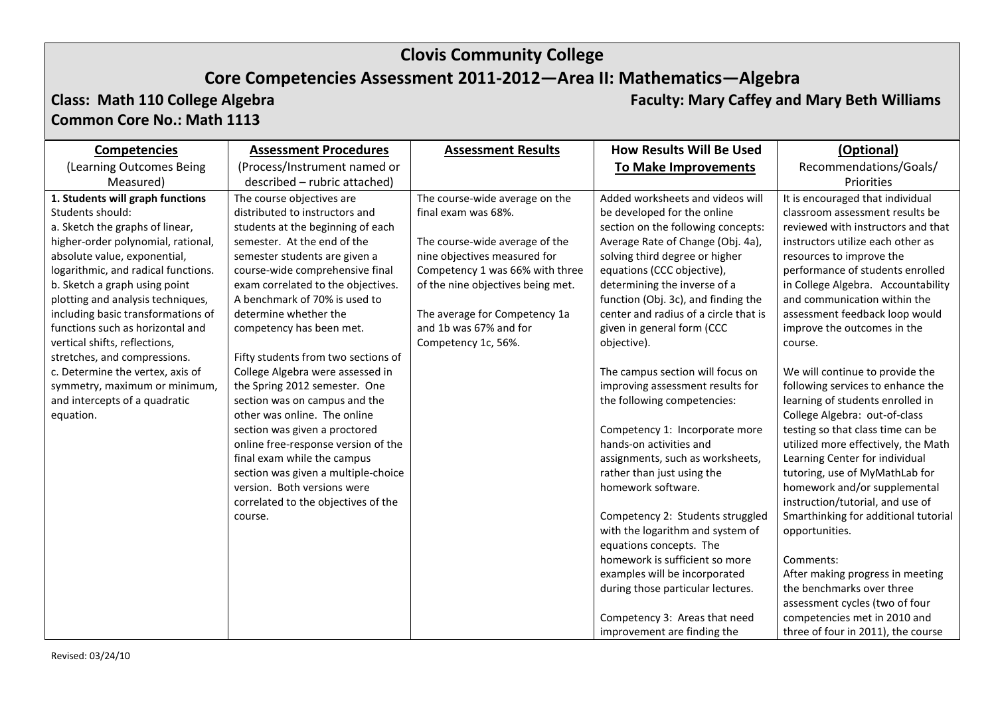## **Core Competencies Assessment 2011-2012—Area II: Mathematics—Algebra**

# **Common Core No.: Math 1113**

**Class: Math 110 College Algebra Faculty: Mary Caffey and Mary Beth Williams**

| <b>Competencies</b>                                                                                                                                                                                                                                                                                              | <b>Assessment Procedures</b>                                                                                                                                                                                                                                                                        | <b>Assessment Results</b>                                                                                                                                                                                                                                  | <b>How Results Will Be Used</b>                                                                                                                                                                                                                                                                                            | (Optional)                                                                                                                                                                                                                                                                                                             |
|------------------------------------------------------------------------------------------------------------------------------------------------------------------------------------------------------------------------------------------------------------------------------------------------------------------|-----------------------------------------------------------------------------------------------------------------------------------------------------------------------------------------------------------------------------------------------------------------------------------------------------|------------------------------------------------------------------------------------------------------------------------------------------------------------------------------------------------------------------------------------------------------------|----------------------------------------------------------------------------------------------------------------------------------------------------------------------------------------------------------------------------------------------------------------------------------------------------------------------------|------------------------------------------------------------------------------------------------------------------------------------------------------------------------------------------------------------------------------------------------------------------------------------------------------------------------|
| (Learning Outcomes Being                                                                                                                                                                                                                                                                                         | (Process/Instrument named or                                                                                                                                                                                                                                                                        |                                                                                                                                                                                                                                                            | <b>To Make Improvements</b>                                                                                                                                                                                                                                                                                                | Recommendations/Goals/                                                                                                                                                                                                                                                                                                 |
| Measured)                                                                                                                                                                                                                                                                                                        | described - rubric attached)                                                                                                                                                                                                                                                                        |                                                                                                                                                                                                                                                            |                                                                                                                                                                                                                                                                                                                            | Priorities                                                                                                                                                                                                                                                                                                             |
| 1. Students will graph functions<br>Students should:<br>a. Sketch the graphs of linear,<br>higher-order polynomial, rational,<br>absolute value, exponential,<br>logarithmic, and radical functions.<br>b. Sketch a graph using point<br>plotting and analysis techniques,<br>including basic transformations of | The course objectives are<br>distributed to instructors and<br>students at the beginning of each<br>semester. At the end of the<br>semester students are given a<br>course-wide comprehensive final<br>exam correlated to the objectives.<br>A benchmark of 70% is used to<br>determine whether the | The course-wide average on the<br>final exam was 68%.<br>The course-wide average of the<br>nine objectives measured for<br>Competency 1 was 66% with three<br>of the nine objectives being met.<br>The average for Competency 1a<br>and 1b was 67% and for | Added worksheets and videos will<br>be developed for the online<br>section on the following concepts:<br>Average Rate of Change (Obj. 4a),<br>solving third degree or higher<br>equations (CCC objective),<br>determining the inverse of a<br>function (Obj. 3c), and finding the<br>center and radius of a circle that is | It is encouraged that individual<br>classroom assessment results be<br>reviewed with instructors and that<br>instructors utilize each other as<br>resources to improve the<br>performance of students enrolled<br>in College Algebra. Accountability<br>and communication within the<br>assessment feedback loop would |
| functions such as horizontal and<br>vertical shifts, reflections,<br>stretches, and compressions.<br>c. Determine the vertex, axis of<br>symmetry, maximum or minimum,<br>and intercepts of a quadratic                                                                                                          | competency has been met.<br>Fifty students from two sections of<br>College Algebra were assessed in<br>the Spring 2012 semester. One<br>section was on campus and the                                                                                                                               | Competency 1c, 56%.                                                                                                                                                                                                                                        | given in general form (CCC<br>objective).<br>The campus section will focus on<br>improving assessment results for<br>the following competencies:                                                                                                                                                                           | improve the outcomes in the<br>course.<br>We will continue to provide the<br>following services to enhance the<br>learning of students enrolled in                                                                                                                                                                     |
| equation.                                                                                                                                                                                                                                                                                                        | other was online. The online<br>section was given a proctored<br>online free-response version of the<br>final exam while the campus<br>section was given a multiple-choice<br>version. Both versions were<br>correlated to the objectives of the                                                    |                                                                                                                                                                                                                                                            | Competency 1: Incorporate more<br>hands-on activities and<br>assignments, such as worksheets,<br>rather than just using the<br>homework software.                                                                                                                                                                          | College Algebra: out-of-class<br>testing so that class time can be<br>utilized more effectively, the Math<br>Learning Center for individual<br>tutoring, use of MyMathLab for<br>homework and/or supplemental<br>instruction/tutorial, and use of                                                                      |
|                                                                                                                                                                                                                                                                                                                  | course.                                                                                                                                                                                                                                                                                             |                                                                                                                                                                                                                                                            | Competency 2: Students struggled<br>with the logarithm and system of<br>equations concepts. The<br>homework is sufficient so more<br>examples will be incorporated<br>during those particular lectures.<br>Competency 3: Areas that need<br>improvement are finding the                                                    | Smarthinking for additional tutorial<br>opportunities.<br>Comments:<br>After making progress in meeting<br>the benchmarks over three<br>assessment cycles (two of four<br>competencies met in 2010 and<br>three of four in 2011), the course                                                                           |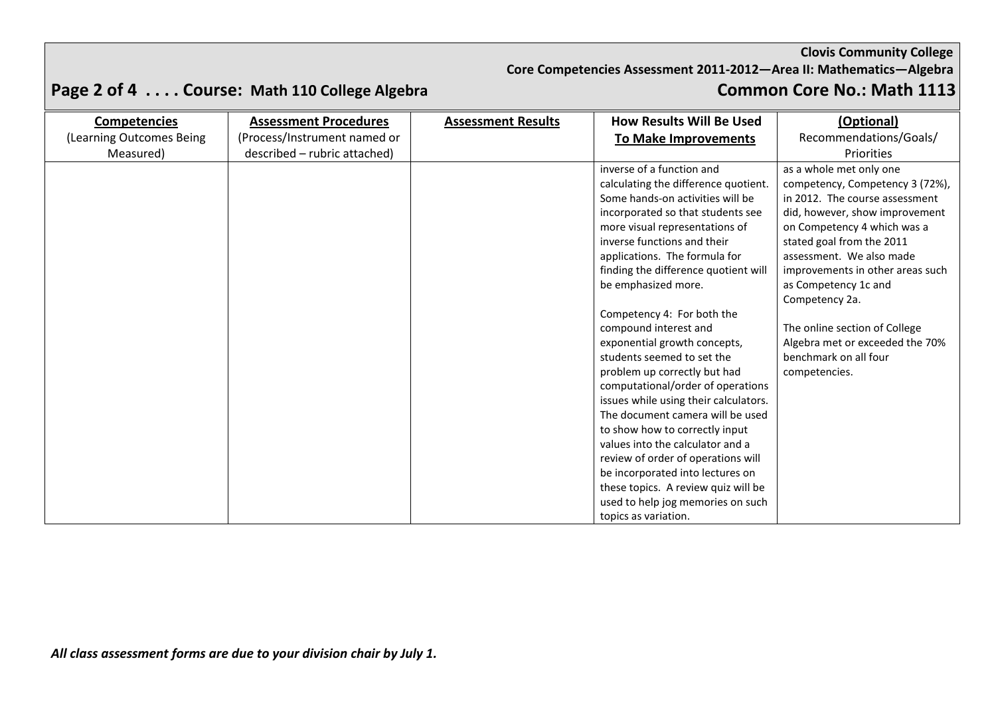**Core Competencies Assessment 2011-2012—Area II: Mathematics—Algebra**

| <b>Competencies</b>      | <b>Assessment Procedures</b> | <b>Assessment Results</b> | <b>How Results Will Be Used</b>       | (Optional)                       |
|--------------------------|------------------------------|---------------------------|---------------------------------------|----------------------------------|
| (Learning Outcomes Being | (Process/Instrument named or |                           | To Make Improvements                  | Recommendations/Goals/           |
| Measured)                | described - rubric attached) |                           |                                       | Priorities                       |
|                          |                              |                           | inverse of a function and             | as a whole met only one          |
|                          |                              |                           | calculating the difference quotient.  | competency, Competency 3 (72%),  |
|                          |                              |                           | Some hands-on activities will be      | in 2012. The course assessment   |
|                          |                              |                           | incorporated so that students see     | did, however, show improvement   |
|                          |                              |                           | more visual representations of        | on Competency 4 which was a      |
|                          |                              |                           | inverse functions and their           | stated goal from the 2011        |
|                          |                              |                           | applications. The formula for         | assessment. We also made         |
|                          |                              |                           | finding the difference quotient will  | improvements in other areas such |
|                          |                              |                           | be emphasized more.                   | as Competency 1c and             |
|                          |                              |                           |                                       | Competency 2a.                   |
|                          |                              |                           | Competency 4: For both the            |                                  |
|                          |                              |                           | compound interest and                 | The online section of College    |
|                          |                              |                           | exponential growth concepts,          | Algebra met or exceeded the 70%  |
|                          |                              |                           | students seemed to set the            | benchmark on all four            |
|                          |                              |                           | problem up correctly but had          | competencies.                    |
|                          |                              |                           | computational/order of operations     |                                  |
|                          |                              |                           | issues while using their calculators. |                                  |
|                          |                              |                           | The document camera will be used      |                                  |
|                          |                              |                           | to show how to correctly input        |                                  |
|                          |                              |                           | values into the calculator and a      |                                  |
|                          |                              |                           | review of order of operations will    |                                  |
|                          |                              |                           | be incorporated into lectures on      |                                  |
|                          |                              |                           | these topics. A review quiz will be   |                                  |
|                          |                              |                           | used to help jog memories on such     |                                  |
|                          |                              |                           | topics as variation.                  |                                  |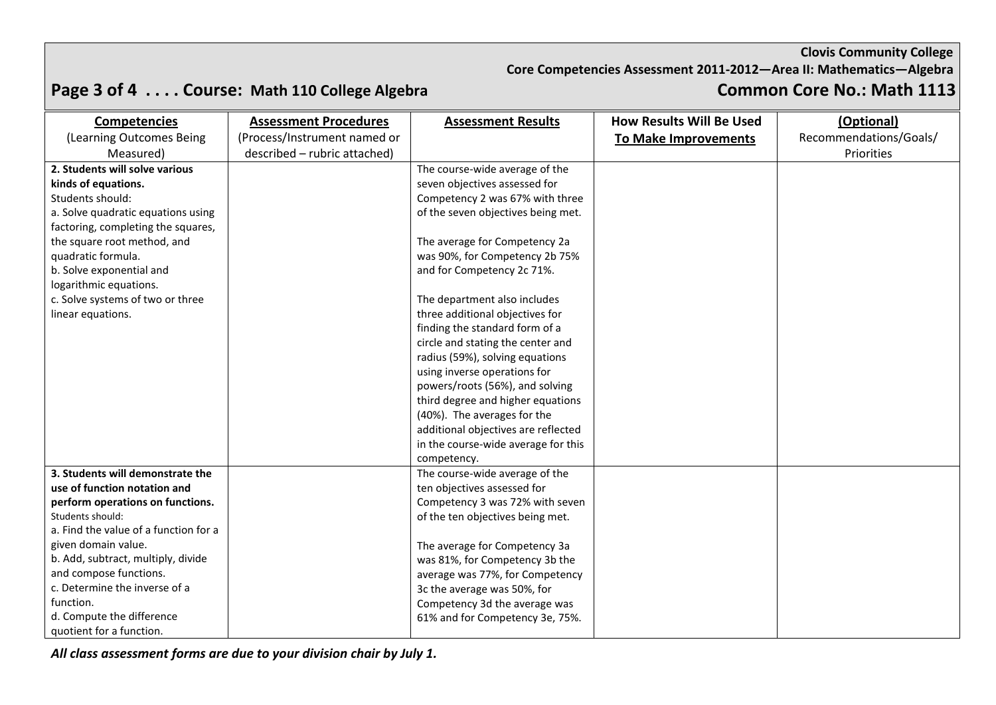**Core Competencies Assessment 2011-2012—Area II: Mathematics—Algebra**

## **Page 3 of 4 . . . . Course: Math 110 College Algebra Common Core No.: Math 1113**

| <b>Competencies</b>                   | <b>Assessment Procedures</b> | <b>Assessment Results</b>           | <b>How Results Will Be Used</b> | (Optional)             |
|---------------------------------------|------------------------------|-------------------------------------|---------------------------------|------------------------|
| (Learning Outcomes Being              | (Process/Instrument named or |                                     | To Make Improvements            | Recommendations/Goals/ |
| Measured)                             | described - rubric attached) |                                     |                                 | Priorities             |
| 2. Students will solve various        |                              | The course-wide average of the      |                                 |                        |
| kinds of equations.                   |                              | seven objectives assessed for       |                                 |                        |
| Students should:                      |                              | Competency 2 was 67% with three     |                                 |                        |
| a. Solve quadratic equations using    |                              | of the seven objectives being met.  |                                 |                        |
| factoring, completing the squares,    |                              |                                     |                                 |                        |
| the square root method, and           |                              | The average for Competency 2a       |                                 |                        |
| quadratic formula.                    |                              | was 90%, for Competency 2b 75%      |                                 |                        |
| b. Solve exponential and              |                              | and for Competency 2c 71%.          |                                 |                        |
| logarithmic equations.                |                              |                                     |                                 |                        |
| c. Solve systems of two or three      |                              | The department also includes        |                                 |                        |
| linear equations.                     |                              | three additional objectives for     |                                 |                        |
|                                       |                              | finding the standard form of a      |                                 |                        |
|                                       |                              | circle and stating the center and   |                                 |                        |
|                                       |                              | radius (59%), solving equations     |                                 |                        |
|                                       |                              | using inverse operations for        |                                 |                        |
|                                       |                              | powers/roots (56%), and solving     |                                 |                        |
|                                       |                              | third degree and higher equations   |                                 |                        |
|                                       |                              | (40%). The averages for the         |                                 |                        |
|                                       |                              | additional objectives are reflected |                                 |                        |
|                                       |                              | in the course-wide average for this |                                 |                        |
|                                       |                              | competency.                         |                                 |                        |
| 3. Students will demonstrate the      |                              | The course-wide average of the      |                                 |                        |
| use of function notation and          |                              | ten objectives assessed for         |                                 |                        |
| perform operations on functions.      |                              | Competency 3 was 72% with seven     |                                 |                        |
| Students should:                      |                              | of the ten objectives being met.    |                                 |                        |
| a. Find the value of a function for a |                              |                                     |                                 |                        |
| given domain value.                   |                              | The average for Competency 3a       |                                 |                        |
| b. Add, subtract, multiply, divide    |                              | was 81%, for Competency 3b the      |                                 |                        |
| and compose functions.                |                              | average was 77%, for Competency     |                                 |                        |
| c. Determine the inverse of a         |                              | 3c the average was 50%, for         |                                 |                        |
| function.                             |                              | Competency 3d the average was       |                                 |                        |
| d. Compute the difference             |                              | 61% and for Competency 3e, 75%.     |                                 |                        |
| quotient for a function.              |                              |                                     |                                 |                        |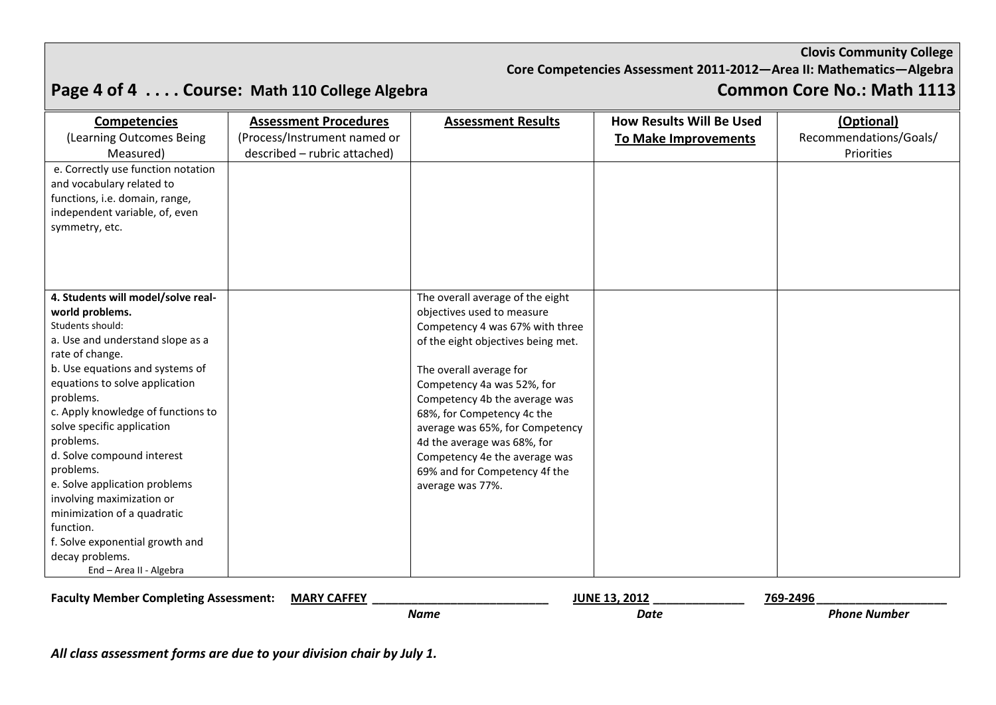**Core Competencies Assessment 2011-2012—Area II: Mathematics—Algebra**

## **Page 4 of 4 . . . . Course: Math 110 College Algebra Common Core No.: Math 1113**

| <b>Competencies</b><br>(Learning Outcomes Being<br>Measured)<br>e. Correctly use function notation<br>and vocabulary related to<br>functions, i.e. domain, range,<br>independent variable, of, even<br>symmetry, etc.                                                                                                            | <b>Assessment Procedures</b><br>(Process/Instrument named or<br>described - rubric attached) | <b>Assessment Results</b>                                                                                                                                                                                           | <b>How Results Will Be Used</b><br><b>To Make Improvements</b> | (Optional)<br>Recommendations/Goals/<br>Priorities |
|----------------------------------------------------------------------------------------------------------------------------------------------------------------------------------------------------------------------------------------------------------------------------------------------------------------------------------|----------------------------------------------------------------------------------------------|---------------------------------------------------------------------------------------------------------------------------------------------------------------------------------------------------------------------|----------------------------------------------------------------|----------------------------------------------------|
| 4. Students will model/solve real-<br>world problems.<br>Students should:<br>a. Use and understand slope as a<br>rate of change.<br>b. Use equations and systems of<br>equations to solve application                                                                                                                            |                                                                                              | The overall average of the eight<br>objectives used to measure<br>Competency 4 was 67% with three<br>of the eight objectives being met.<br>The overall average for<br>Competency 4a was 52%, for                    |                                                                |                                                    |
| problems.<br>c. Apply knowledge of functions to<br>solve specific application<br>problems.<br>d. Solve compound interest<br>problems.<br>e. Solve application problems<br>involving maximization or<br>minimization of a quadratic<br>function.<br>f. Solve exponential growth and<br>decay problems.<br>End - Area II - Algebra |                                                                                              | Competency 4b the average was<br>68%, for Competency 4c the<br>average was 65%, for Competency<br>4d the average was 68%, for<br>Competency 4e the average was<br>69% and for Competency 4f the<br>average was 77%. |                                                                |                                                    |

**Faculty Member Completing Assessment: MARY CAFFEY \_\_\_\_\_\_\_\_\_\_\_\_\_\_\_\_\_\_\_\_\_\_\_\_\_\_\_ JUNE 13, 2012 \_\_\_\_\_\_\_\_\_\_\_\_\_\_ 769-2496\_\_\_\_\_\_\_\_\_\_\_\_\_\_\_\_\_\_\_\_**  *Name* Phone Number **Date** *Date Phone Number*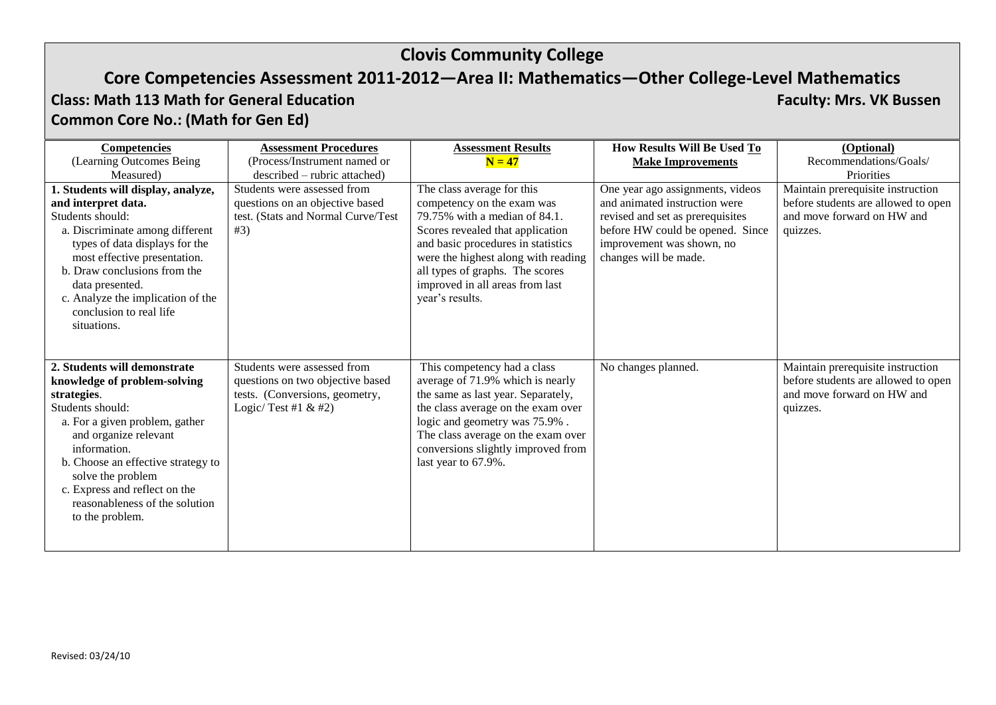## **Core Competencies Assessment 2011-2012—Area II: Mathematics—Other College-Level Mathematics**

### **Class: Math 113 Math for General Education Faculty: Mrs. VK Bussen Common Core No.: (Math for Gen Ed)**

| <b>Competencies</b>                | <b>Assessment Procedures</b>       | <b>Assessment Results</b>           | <b>How Results Will Be Used To</b> | (Optional)                          |
|------------------------------------|------------------------------------|-------------------------------------|------------------------------------|-------------------------------------|
| (Learning Outcomes Being           | (Process/Instrument named or       | $N = 47$                            | <b>Make Improvements</b>           | Recommendations/Goals/              |
| Measured)                          | described – rubric attached)       |                                     |                                    | Priorities                          |
| 1. Students will display, analyze, | Students were assessed from        | The class average for this          | One year ago assignments, videos   | Maintain prerequisite instruction   |
| and interpret data.                | questions on an objective based    | competency on the exam was          | and animated instruction were      | before students are allowed to open |
| Students should:                   | test. (Stats and Normal Curve/Test | 79.75% with a median of 84.1.       | revised and set as prerequisites   | and move forward on HW and          |
| a. Discriminate among different    | #3)                                | Scores revealed that application    | before HW could be opened. Since   | quizzes.                            |
| types of data displays for the     |                                    | and basic procedures in statistics  | improvement was shown, no          |                                     |
| most effective presentation.       |                                    | were the highest along with reading | changes will be made.              |                                     |
| b. Draw conclusions from the       |                                    | all types of graphs. The scores     |                                    |                                     |
| data presented.                    |                                    | improved in all areas from last     |                                    |                                     |
| c. Analyze the implication of the  |                                    | year's results.                     |                                    |                                     |
| conclusion to real life            |                                    |                                     |                                    |                                     |
| situations.                        |                                    |                                     |                                    |                                     |
|                                    |                                    |                                     |                                    |                                     |
|                                    |                                    |                                     |                                    |                                     |
| 2. Students will demonstrate       | Students were assessed from        | This competency had a class         | No changes planned.                | Maintain prerequisite instruction   |
| knowledge of problem-solving       | questions on two objective based   | average of 71.9% which is nearly    |                                    | before students are allowed to open |
| strategies.                        | tests. (Conversions, geometry,     | the same as last year. Separately,  |                                    | and move forward on HW and          |
| Students should:                   | Logic/Test #1 $&$ #2)              | the class average on the exam over  |                                    | quizzes.                            |
| a. For a given problem, gather     |                                    | logic and geometry was 75.9%.       |                                    |                                     |
| and organize relevant              |                                    | The class average on the exam over  |                                    |                                     |
| information.                       |                                    | conversions slightly improved from  |                                    |                                     |
| b. Choose an effective strategy to |                                    | last year to 67.9%.                 |                                    |                                     |
| solve the problem                  |                                    |                                     |                                    |                                     |
| c. Express and reflect on the      |                                    |                                     |                                    |                                     |
| reasonableness of the solution     |                                    |                                     |                                    |                                     |
| to the problem.                    |                                    |                                     |                                    |                                     |
|                                    |                                    |                                     |                                    |                                     |
|                                    |                                    |                                     |                                    |                                     |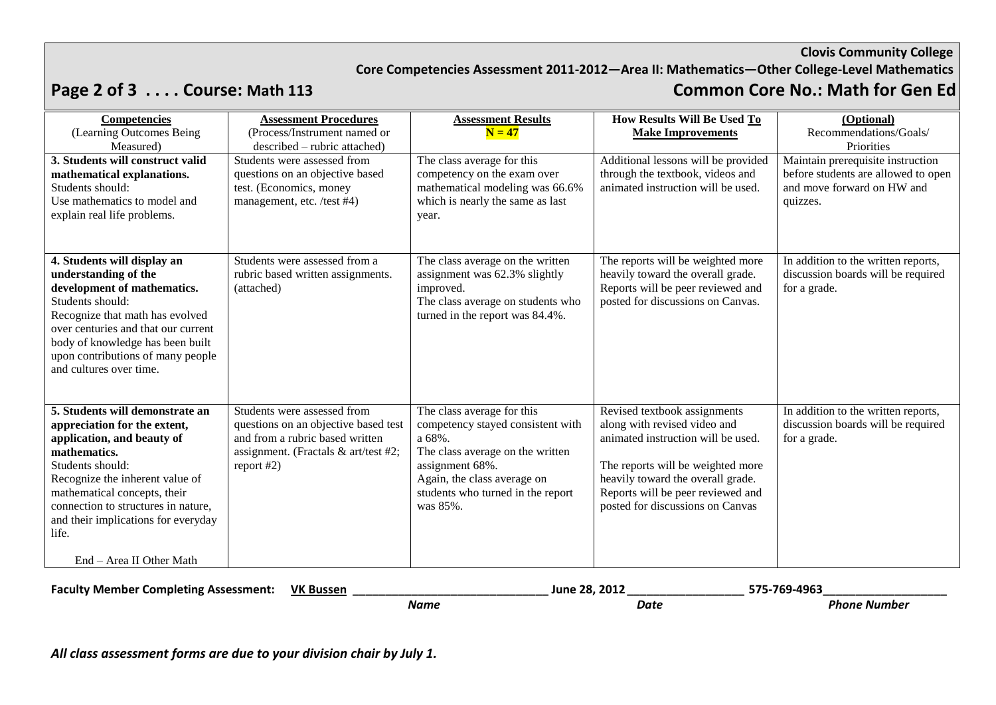### **Core Competencies Assessment 2011-2012—Area II: Mathematics—Other College-Level Mathematics**

## **Page 2 of 3 . . . . Course: Math 113 Common Core No.: Math for Gen Ed**

| Competencies<br>(Learning Outcomes Being<br>Measured)                                                                                                                                                                                                                                       | <b>Assessment Procedures</b><br>(Process/Instrument named or<br>described – rubric attached)                                                                   | <b>Assessment Results</b><br>$N = 47$                                                                                                                                                                            | How Results Will Be Used To<br><b>Make Improvements</b>                                                                                                                                                                                               | (Optional)<br>Recommendations/Goals/<br>Priorities                                                                 |
|---------------------------------------------------------------------------------------------------------------------------------------------------------------------------------------------------------------------------------------------------------------------------------------------|----------------------------------------------------------------------------------------------------------------------------------------------------------------|------------------------------------------------------------------------------------------------------------------------------------------------------------------------------------------------------------------|-------------------------------------------------------------------------------------------------------------------------------------------------------------------------------------------------------------------------------------------------------|--------------------------------------------------------------------------------------------------------------------|
| 3. Students will construct valid<br>mathematical explanations.<br>Students should:<br>Use mathematics to model and<br>explain real life problems.                                                                                                                                           | Students were assessed from<br>questions on an objective based<br>test. (Economics, money<br>management, etc. /test #4)                                        | The class average for this<br>competency on the exam over<br>mathematical modeling was 66.6%<br>which is nearly the same as last<br>year.                                                                        | Additional lessons will be provided<br>through the textbook, videos and<br>animated instruction will be used.                                                                                                                                         | Maintain prerequisite instruction<br>before students are allowed to open<br>and move forward on HW and<br>quizzes. |
| 4. Students will display an<br>understanding of the<br>development of mathematics.<br>Students should:<br>Recognize that math has evolved<br>over centuries and that our current<br>body of knowledge has been built<br>upon contributions of many people<br>and cultures over time.        | Students were assessed from a<br>rubric based written assignments.<br>(attached)                                                                               | The class average on the written<br>assignment was 62.3% slightly<br>improved.<br>The class average on students who<br>turned in the report was 84.4%.                                                           | The reports will be weighted more<br>heavily toward the overall grade.<br>Reports will be peer reviewed and<br>posted for discussions on Canvas.                                                                                                      | In addition to the written reports,<br>discussion boards will be required<br>for a grade.                          |
| 5. Students will demonstrate an<br>appreciation for the extent,<br>application, and beauty of<br>mathematics.<br>Students should:<br>Recognize the inherent value of<br>mathematical concepts, their<br>connection to structures in nature,<br>and their implications for everyday<br>life. | Students were assessed from<br>questions on an objective based test<br>and from a rubric based written<br>assignment. (Fractals & art/test #2;<br>report $#2)$ | The class average for this<br>competency stayed consistent with<br>a 68%.<br>The class average on the written<br>assignment 68%.<br>Again, the class average on<br>students who turned in the report<br>was 85%. | Revised textbook assignments<br>along with revised video and<br>animated instruction will be used.<br>The reports will be weighted more<br>heavily toward the overall grade.<br>Reports will be peer reviewed and<br>posted for discussions on Canvas | In addition to the written reports,<br>discussion boards will be required<br>for a grade.                          |
| End - Area II Other Math                                                                                                                                                                                                                                                                    |                                                                                                                                                                |                                                                                                                                                                                                                  |                                                                                                                                                                                                                                                       |                                                                                                                    |

**Faculty Member Completing Assessment: VK Bussen \_\_\_\_\_\_\_\_\_\_\_\_\_\_\_\_\_\_\_\_\_\_\_\_\_\_\_\_\_\_ June 28, 2012 \_\_\_\_\_\_\_\_\_\_\_\_\_\_\_\_\_\_ 575-769-4963 \_\_\_\_\_\_\_\_\_\_\_\_\_\_\_\_\_\_\_** 

*Name Date Phone Number*